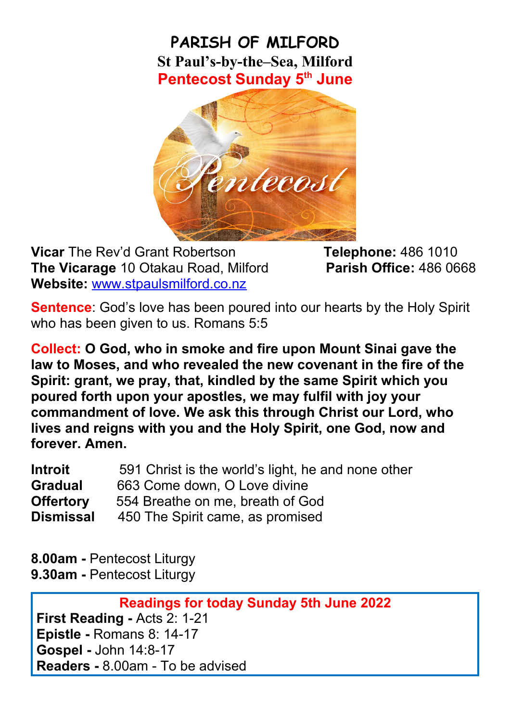**PARISH OF MILFORD St Paul's-by-the–Sea, Milford Pentecost Sunday 5th June**



**Vicar** The Rev'd Grant Robertson **Telephone:** 486 1010 **The Vicarage** 10 Otakau Road, Milford **Parish Office:** 486 0668 **Website:** [www.stpaulsmilford.co.nz](http://www.stpaulsmilford.co.nz/)

**Sentence**: God's love has been poured into our hearts by the Holy Spirit who has been given to us. Romans 5:5

**Collect: O God, who in smoke and fire upon Mount Sinai gave the law to Moses, and who revealed the new covenant in the fire of the Spirit: grant, we pray, that, kindled by the same Spirit which you poured forth upon your apostles, we may fulfil with joy your commandment of love. We ask this through Christ our Lord, who lives and reigns with you and the Holy Spirit, one God, now and forever. Amen.**

| <b>Introit</b>   | 591 Christ is the world's light, he and none other |
|------------------|----------------------------------------------------|
| <b>Gradual</b>   | 663 Come down, O Love divine                       |
| <b>Offertory</b> | 554 Breathe on me, breath of God                   |
| <b>Dismissal</b> | 450 The Spirit came, as promised                   |

**8.00am -** Pentecost Liturgy **9.30am -** Pentecost Liturgy

**Readings for today Sunday 5th June 2022 First Reading -** Acts 2: 1-21 **Epistle -** Romans 8: 14-17 **Gospel -** John 14:8-17 **Readers -** 8.00am - To be advised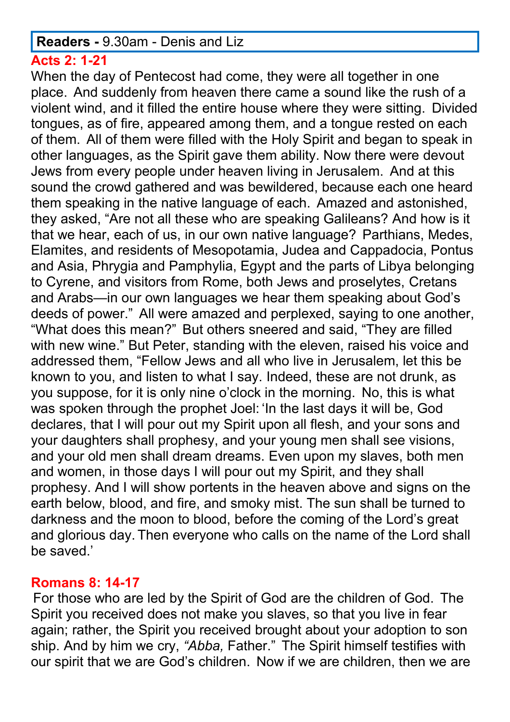## **Acts 2: 1-21**

When the day of Pentecost had come, they were all together in one place. And suddenly from heaven there came a sound like the rush of a violent wind, and it filled the entire house where they were sitting. Divided tongues, as of fire, appeared among them, and a tongue rested on each of them. All of them were filled with the Holy Spirit and began to speak in other languages, as the Spirit gave them ability. Now there were devout Jews from every people under heaven living in Jerusalem. And at this sound the crowd gathered and was bewildered, because each one heard them speaking in the native language of each. Amazed and astonished, they asked, "Are not all these who are speaking Galileans? And how is it that we hear, each of us, in our own native language? Parthians, Medes, Elamites, and residents of Mesopotamia, Judea and Cappadocia, Pontus and Asia, Phrygia and Pamphylia, Egypt and the parts of Libya belonging to Cyrene, and visitors from Rome, both Jews and proselytes, Cretans and Arabs—in our own languages we hear them speaking about God's deeds of power." All were amazed and perplexed, saying to one another, "What does this mean?" But others sneered and said, "They are filled with new wine." But Peter, standing with the eleven, raised his voice and addressed them, "Fellow Jews and all who live in Jerusalem, let this be known to you, and listen to what I say. Indeed, these are not drunk, as you suppose, for it is only nine o'clock in the morning. No, this is what was spoken through the prophet Joel: 'In the last days it will be, God declares, that I will pour out my Spirit upon all flesh, and your sons and your daughters shall prophesy, and your young men shall see visions, and your old men shall dream dreams. Even upon my slaves, both men and women, in those days I will pour out my Spirit, and they shall prophesy. And I will show portents in the heaven above and signs on the earth below, blood, and fire, and smoky mist. The sun shall be turned to darkness and the moon to blood, before the coming of the Lord's great and glorious day. Then everyone who calls on the name of the Lord shall be saved.'

## **Romans 8: 14-17**

For those who are led by the Spirit of God are the children of God. The Spirit you received does not make you slaves, so that you live in fear again; rather, the Spirit you received brought about your adoption to son ship. And by him we cry, *"Abba,* Father." The Spirit himself testifies with our spirit that we are God's children. Now if we are children, then we are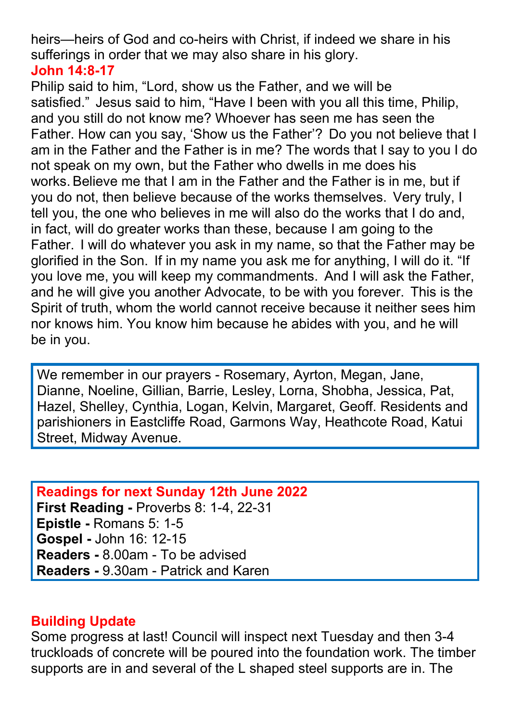heirs—heirs of God and co-heirs with Christ, if indeed we share in his sufferings in order that we may also share in his glory. **John 14:8-17** 

Philip said to him, "Lord, show us the Father, and we will be satisfied." Jesus said to him, "Have I been with you all this time, Philip, and you still do not know me? Whoever has seen me has seen the Father. How can you say, 'Show us the Father'? Do you not believe that I am in the Father and the Father is in me? The words that I say to you I do not speak on my own, but the Father who dwells in me does his works. Believe me that I am in the Father and the Father is in me, but if you do not, then believe because of the works themselves. Very truly, I tell you, the one who believes in me will also do the works that I do and, in fact, will do greater works than these, because I am going to the Father. I will do whatever you ask in my name, so that the Father may be glorified in the Son. If in my name you ask me for anything, I will do it. "If you love me, you will keep my commandments. And I will ask the Father, and he will give you another Advocate, to be with you forever. This is the Spirit of truth, whom the world cannot receive because it neither sees him nor knows him. You know him because he abides with you, and he will be in you.

We remember in our prayers - Rosemary, Ayrton, Megan, Jane, Dianne, Noeline, Gillian, Barrie, Lesley, Lorna, Shobha, Jessica, Pat, Hazel, Shelley, Cynthia, Logan, Kelvin, Margaret, Geoff. Residents and parishioners in Eastcliffe Road, Garmons Way, Heathcote Road, Katui Street, Midway Avenue.

**Readings for next Sunday 12th June 2022 First Reading -** Proverbs 8: 1-4, 22-31 **Epistle -** Romans 5: 1-5 **Gospel -** John 16: 12-15 **Readers -** 8.00am - To be advised **Readers -** 9.30am - Patrick and Karen

#### **Building Update**

Some progress at last! Council will inspect next Tuesday and then 3-4 truckloads of concrete will be poured into the foundation work. The timber supports are in and several of the L shaped steel supports are in. The